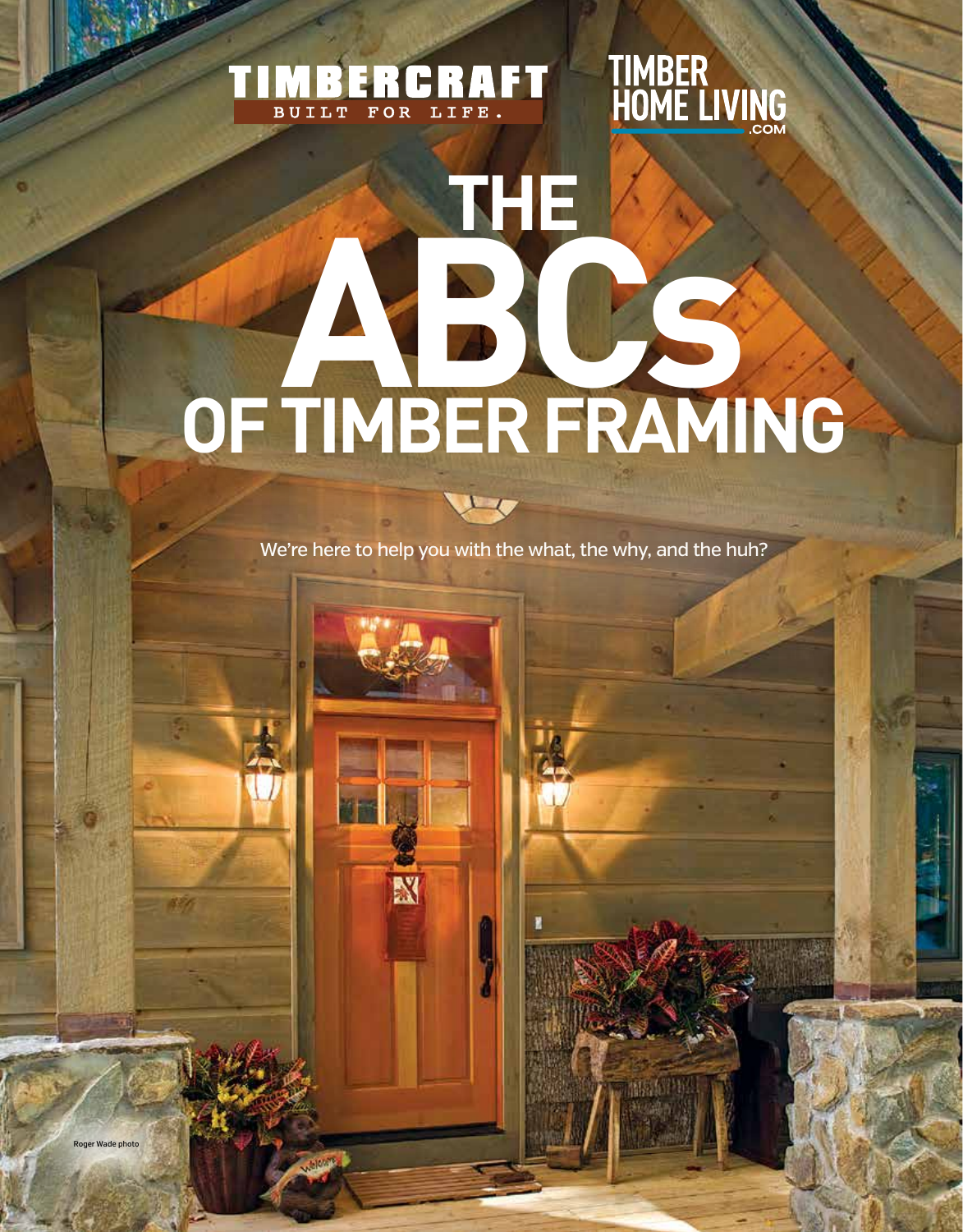### TIMBERCRAFT

## **TIMBER<br>HOME LIVING**

# **THE ABCs OF TIMBER FRAMING**

We're here to help you with the what, the why, and the huh?

 $\overline{1}$ 

N

357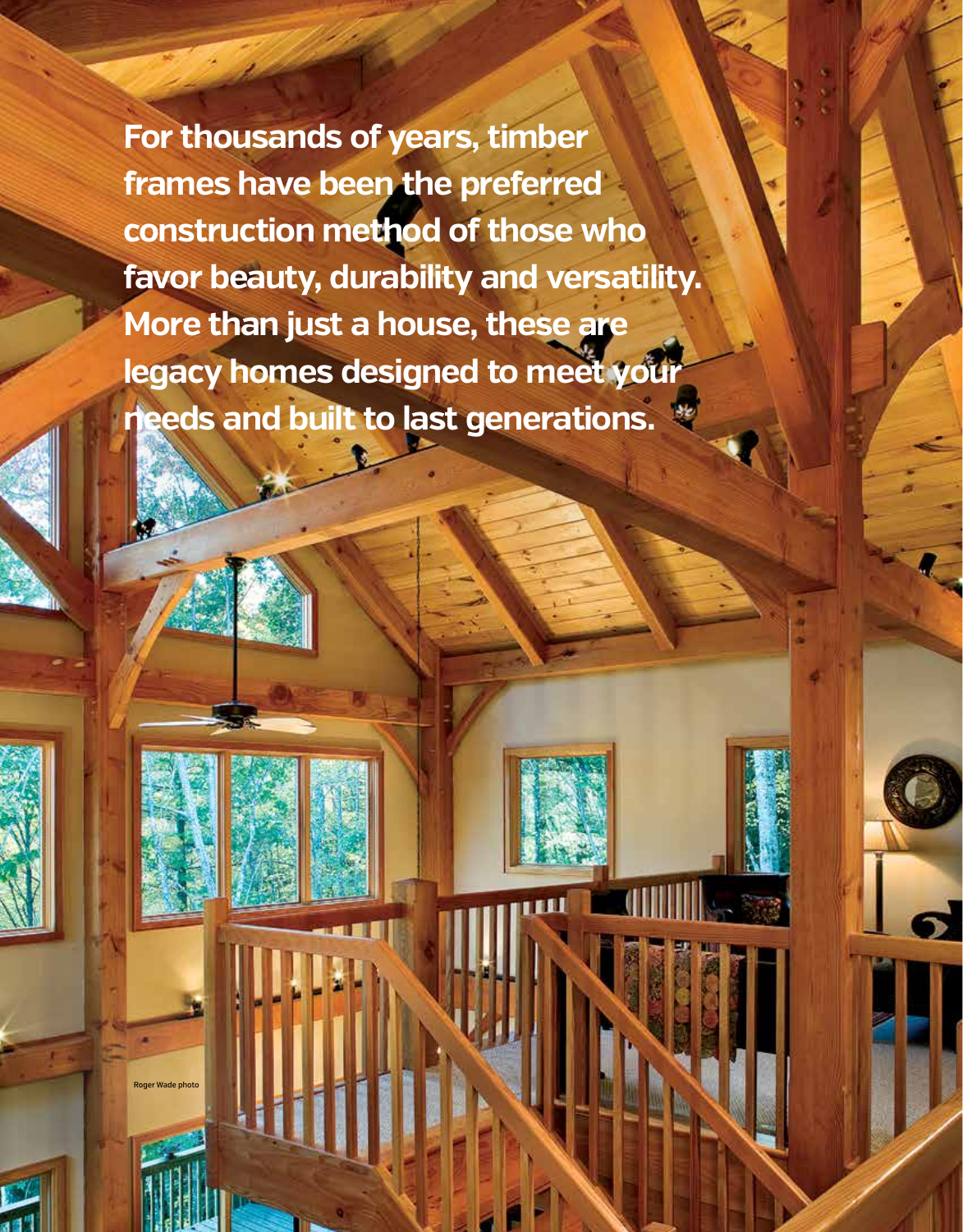**For thousands of years, timber frames have been the preferred construction method of those who favor beauty, durability and versatility. More than just a house, these are legacy homes designed to meet your needs and built to last generations.** 

Roger Wade photo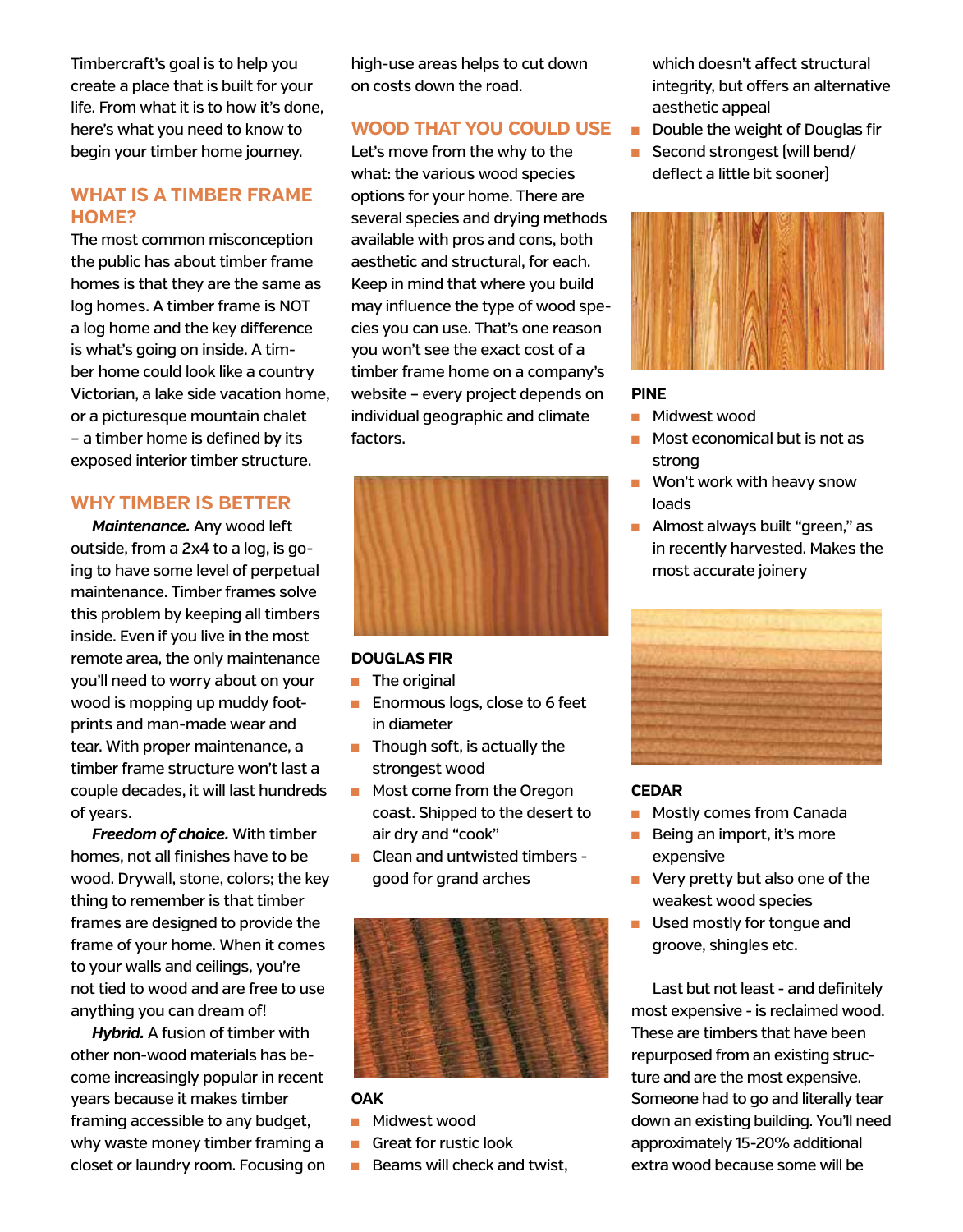Timbercraft's goal is to help you create a place that is built for your life. From what it is to how it's done, here's what you need to know to begin your timber home journey.

#### **WHAT IS A TIMBER FRAME HOME?**

The most common misconception the public has about timber frame homes is that they are the same as log homes. A timber frame is NOT a log home and the key difference is what's going on inside. A timber home could look like a country Victorian, a lake side vacation home, or a picturesque mountain chalet – a timber home is defined by its exposed interior timber structure.

#### **WHY TIMBER IS BETTER**

*Maintenance.* Any wood left outside, from a 2x4 to a log, is going to have some level of perpetual maintenance. Timber frames solve this problem by keeping all timbers inside. Even if you live in the most remote area, the only maintenance you'll need to worry about on your wood is mopping up muddy footprints and man-made wear and tear. With proper maintenance, a timber frame structure won't last a couple decades, it will last hundreds of years.

*Freedom of choice.* With timber homes, not all finishes have to be wood. Drywall, stone, colors; the key thing to remember is that timber frames are designed to provide the frame of your home. When it comes to your walls and ceilings, you're not tied to wood and are free to use anything you can dream of!

*Hybrid.* A fusion of timber with other non-wood materials has become increasingly popular in recent years because it makes timber framing accessible to any budget, why waste money timber framing a closet or laundry room. Focusing on high-use areas helps to cut down on costs down the road.

#### **WOOD THAT YOU COULD USE**

Let's move from the why to the what: the various wood species options for your home. There are several species and drying methods available with pros and cons, both aesthetic and structural, for each. Keep in mind that where you build may influence the type of wood species you can use. That's one reason you won't see the exact cost of a timber frame home on a company's website – every project depends on individual geographic and climate factors.



#### **DOUGLAS FIR**

- $\blacksquare$  The original
- **n** Enormous logs, close to 6 feet in diameter
- $\blacksquare$  Though soft, is actually the strongest wood
- **n** Most come from the Oregon coast. Shipped to the desert to air dry and "cook"
- Clean and untwisted timbers good for grand arches



#### **OAK**

- Midwest wood
- **n** Great for rustic look
- $\blacksquare$  Beams will check and twist,

which doesn't affect structural integrity, but offers an alternative aesthetic appeal

- $\blacksquare$  Double the weight of Douglas fir
- $\blacksquare$  Second strongest (will bend/ deflect a little bit sooner)



#### **PINE**

- <sup>n</sup> Midwest wood
- $\blacksquare$  Most economical but is not as strong
- $\blacksquare$  Won't work with heavy snow loads
- **n** Almost always built "green," as in recently harvested. Makes the most accurate joinery



#### **CEDAR**

- **n** Mostly comes from Canada
- $\blacksquare$  Being an import, it's more expensive
- **n** Very pretty but also one of the weakest wood species
- Used mostly for tongue and groove, shingles etc.

Last but not least - and definitely most expensive - is reclaimed wood. These are timbers that have been repurposed from an existing structure and are the most expensive. Someone had to go and literally tear down an existing building. You'll need approximately 15-20% additional extra wood because some will be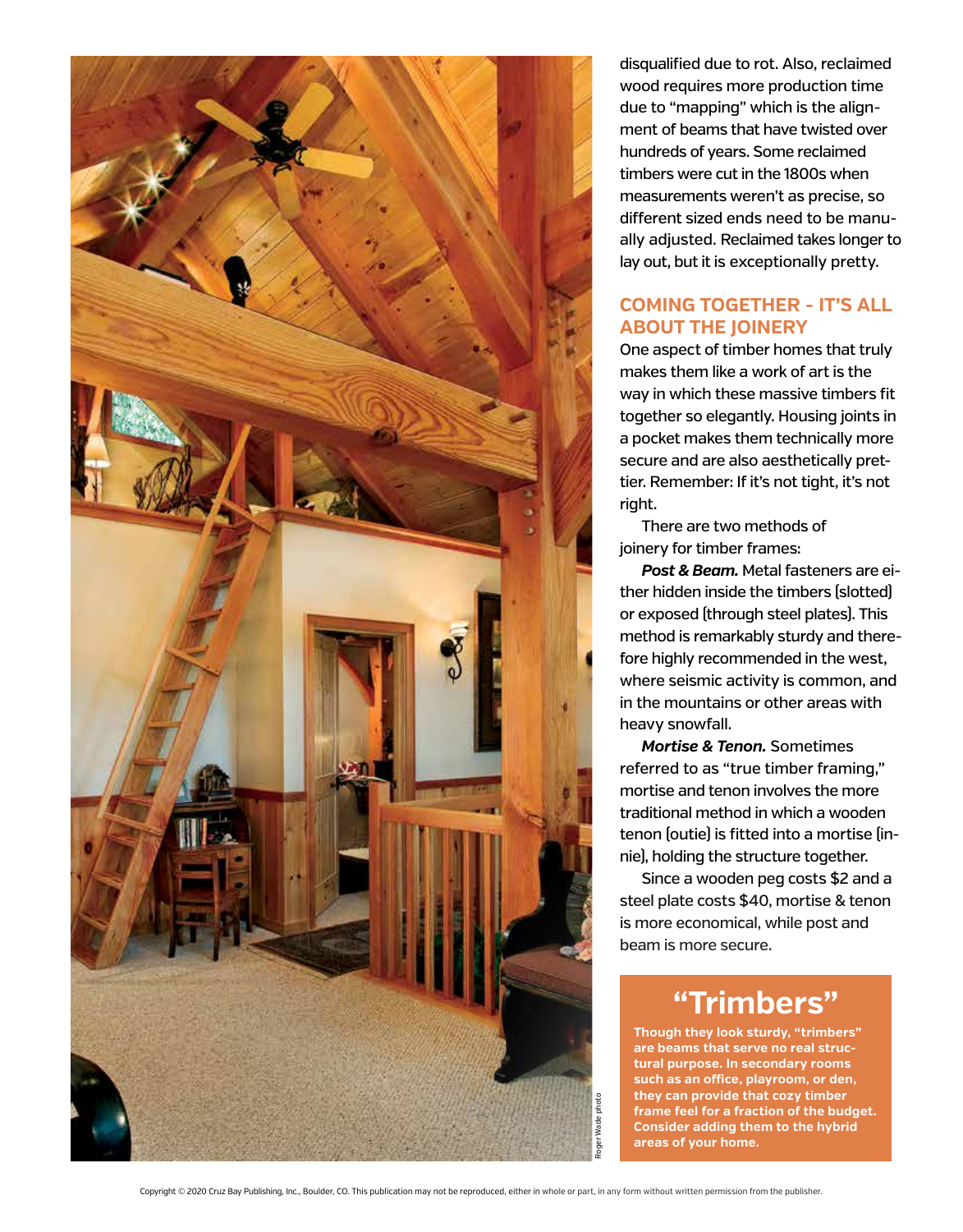

disqualified due to rot. Also, reclaimed wood requires more production time due to "mapping" which is the alignment of beams that have twisted over hundreds of years. Some reclaimed timbers were cut in the 1800s when measurements weren't as precise, so different sized ends need to be manually adjusted. Reclaimed takes longer to lay out, but it is exceptionally pretty.

#### **COMING TOGETHER - IT'S ALL ABOUT THE JOINERY**

One aspect of timber homes that truly makes them like a work of art is the way in which these massive timbers fit together so elegantly. Housing joints in a pocket makes them technically more secure and are also aesthetically prettier. Remember: If it's not tight, it's not right.

There are two methods of joinery for timber frames:

*Post & Beam.* Metal fasteners are either hidden inside the timbers (slotted) or exposed (through steel plates). This method is remarkably sturdy and therefore highly recommended in the west, where seismic activity is common, and in the mountains or other areas with heavy snowfall.

*Mortise & Tenon.* Sometimes referred to as "true timber framing," mortise and tenon involves the more traditional method in which a wooden tenon (outie) is fitted into a mortise (innie), holding the structure together.

Since a wooden peg costs \$2 and a steel plate costs \$40, mortise & tenon is more economical, while post and beam is more secure.

#### **"Trimbers"**

**Though they look sturdy, "trimbers" are beams that serve no real structural purpose. In secondary rooms such as an office, playroom, or den, they can provide that cozy timber frame feel for a fraction of the budget. Consider adding them to the hybrid areas of your home.** 

Copyright © 2020 Cruz Bay Publishing, Inc., Boulder, CO. This publication may not be reproduced, either in whole or part, in any form without written permission from the publisher.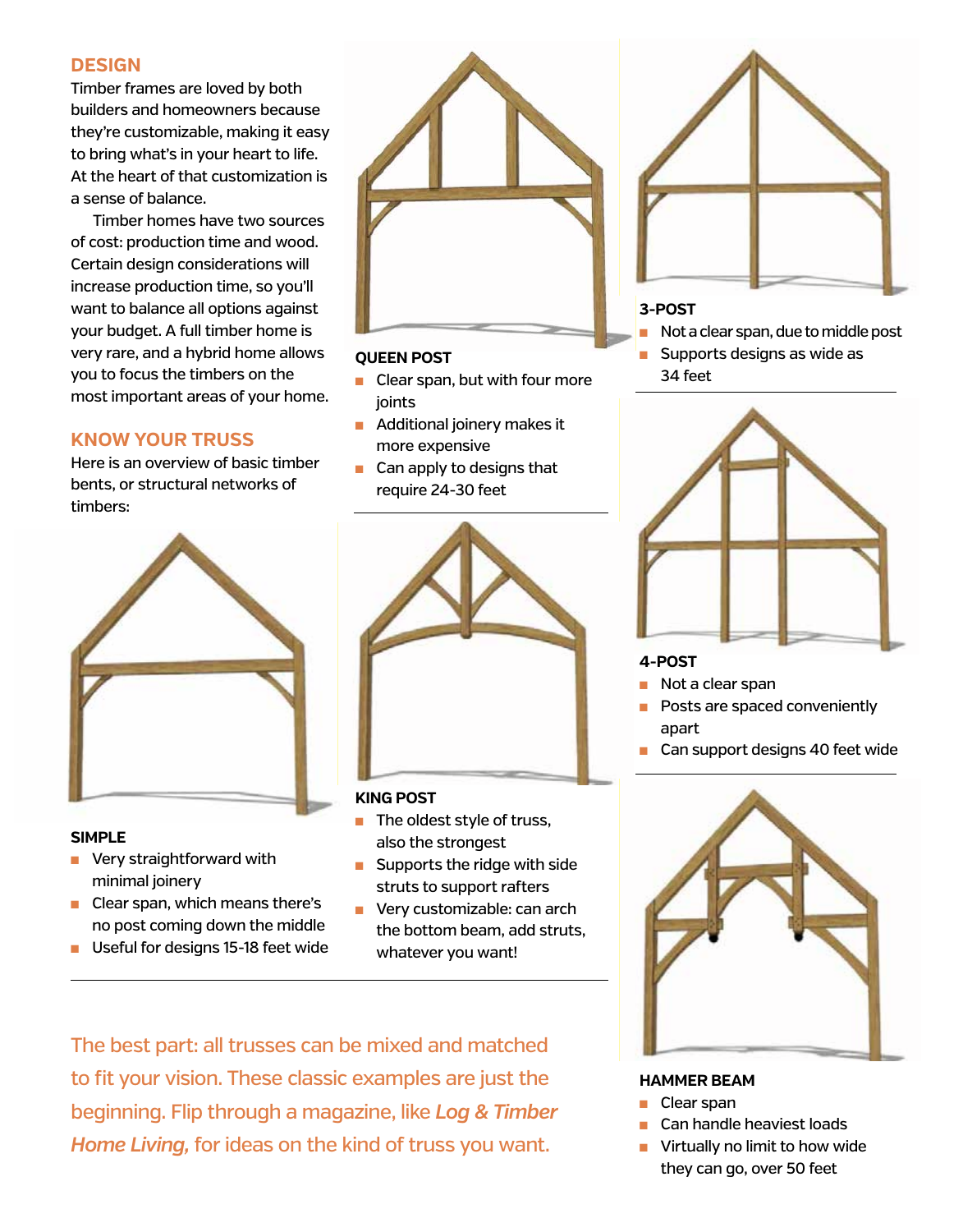#### **DESIGN**

Timber frames are loved by both builders and homeowners because they're customizable, making it easy to bring what's in your heart to life. At the heart of that customization is a sense of balance.

Timber homes have two sources of cost: production time and wood. Certain design considerations will increase production time, so you'll want to balance all options against your budget. A full timber home is very rare, and a hybrid home allows you to focus the timbers on the most important areas of your home.

#### **KNOW YOUR TRUSS**

Here is an overview of basic timber bents, or structural networks of timbers:



#### **SIMPLE**

- **No Very straightforward with** minimal joinery
- $\blacksquare$  Clear span, which means there's no post coming down the middle
- Useful for designs 15-18 feet wide



#### **QUEEN POST**

- $\blacksquare$  Clear span, but with four more joints
- **n** Additional joinery makes it more expensive
- $\blacksquare$  Can apply to designs that require 24-30 feet



#### **KING POST**

- $\blacksquare$  The oldest style of truss, also the strongest
- $\blacksquare$  Supports the ridge with side struts to support rafters
- **n** Very customizable: can arch the bottom beam, add struts, whatever you want!

The best part: all trusses can be mixed and matched to fit your vision. These classic examples are just the beginning. Flip through a magazine, like *Log & Timber Home Living,* for ideas on the kind of truss you want.



#### **3-POST**

- Not a clear span, due to middle post
- $\blacksquare$  Supports designs as wide as 34 feet



#### **4-POST**

- $\blacksquare$  Not a clear span
- Posts are spaced conveniently apart
- $\blacksquare$  Can support designs 40 feet wide



#### **HAMMER BEAM**

- Clear span
- Can handle heaviest loads
- Virtually no limit to how wide they can go, over 50 feet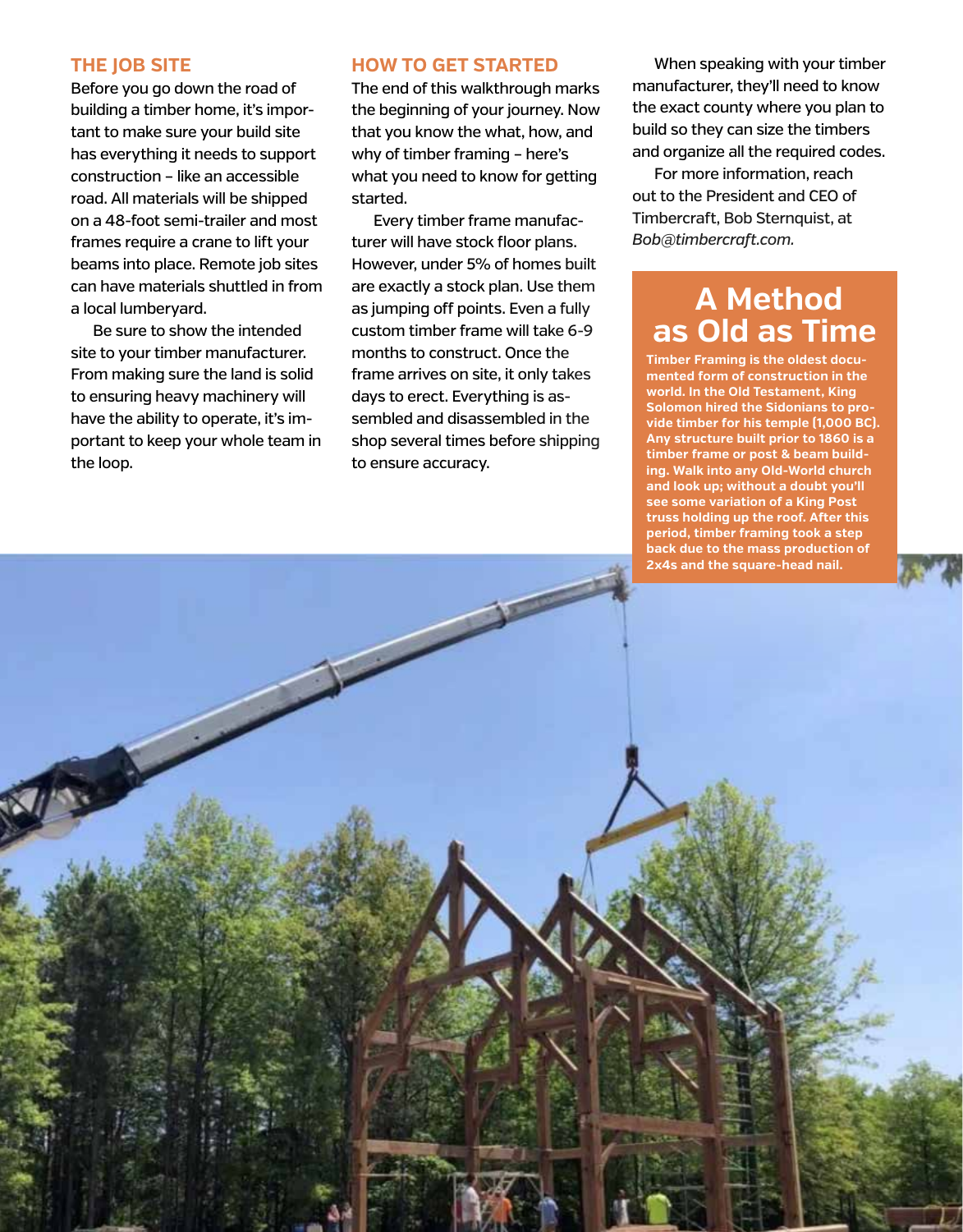#### **THE JOB SITE**

Before you go down the road of building a timber home, it's important to make sure your build site has everything it needs to support construction – like an accessible road. All materials will be shipped on a 48-foot semi-trailer and most frames require a crane to lift your beams into place. Remote job sites can have materials shuttled in from a local lumberyard.

Be sure to show the intended site to your timber manufacturer. From making sure the land is solid to ensuring heavy machinery will have the ability to operate, it's important to keep your whole team in the loop.

#### **HOW TO GET STARTED**

The end of this walkthrough marks the beginning of your journey. Now that you know the what, how, and why of timber framing – here's what you need to know for getting started.

Every timber frame manufacturer will have stock floor plans. However, under 5% of homes built are exactly a stock plan. Use them as jumping off points. Even a fully custom timber frame will take 6-9 months to construct. Once the frame arrives on site, it only takes days to erect. Everything is assembled and disassembled in the shop several times before shipping to ensure accuracy.

When speaking with your timber manufacturer, they'll need to know the exact county where you plan to build so they can size the timbers and organize all the required codes.

For more information, reach out to the President and CEO of Timbercraft, Bob Sternquist, at *Bob@timbercraft.com.*

#### **A Method as Old as Time**

**Timber Framing is the oldest documented form of construction in the world. In the Old Testament, King Solomon hired the Sidonians to provide timber for his temple (1,000 BC). Any structure built prior to 1860 is a timber frame or post & beam building. Walk into any Old-World church and look up; without a doubt you'll see some variation of a King Post truss holding up the roof. After this period, timber framing took a step back due to the mass production of 2x4s and the square-head nail.**